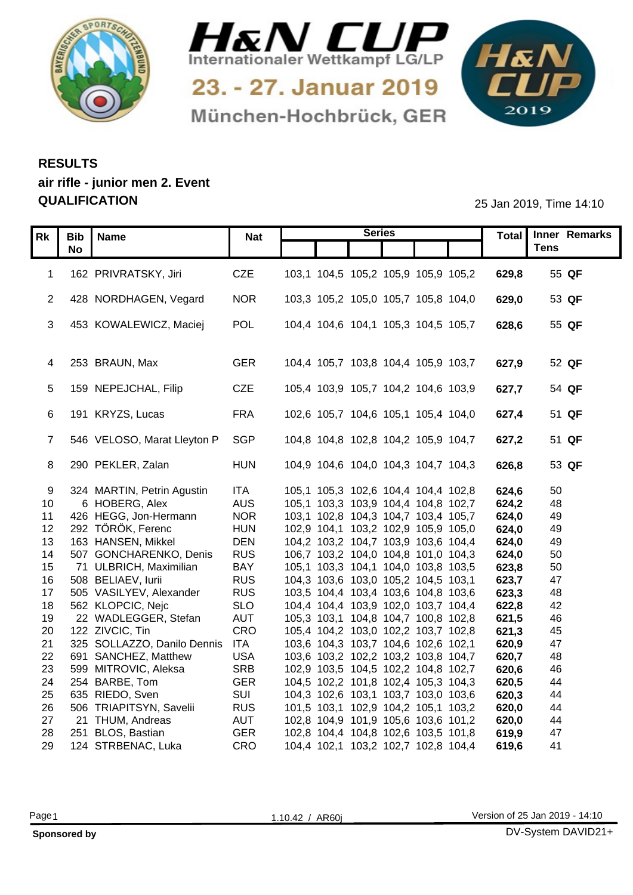



München-Hochbrück, GER



## **RESULTS air rifle - junior men 2. Event QUALIFICATION** 25 Jan 2019, Time 14:10

| Total Inner Remarks<br>Rk<br>Bib   Name<br><b>Nat</b><br><b>Tens</b><br><b>No</b><br>1 162 PRIVRATSKY, Jiri<br>103,1 104,5 105,2 105,9 105,9 105,2<br>629,8<br>55 QF<br>CZE<br>103,3 105,2 105,0 105,7 105,8 104,0<br>428 NORDHAGEN, Vegard<br><b>NOR</b><br>53 QF<br>629,0<br>453 KOWALEWICZ, Maciej<br>POL<br>104,4 104,6 104,1 105,3 104,5 105,7<br>55 QF<br>628,6<br>4 253 BRAUN, Max<br>104,4 105,7 103,8 104,4 105,9 103,7<br>627,9<br>GER<br>52 QF<br>5 159 NEPEJCHAL, Filip<br><b>CZE</b><br>105,4 103,9 105,7 104,2 104,6 103,9<br>627,7<br>54 QF<br>6 191 KRYZS, Lucas<br><b>FRA</b><br>102,6 105,7 104,6 105,1 105,4 104,0<br>627,4<br>51 QF<br>SGP<br>546 VELOSO, Marat Lleyton P<br>104,8 104,8 102,8 104,2 105,9 104,7<br>51 QF<br>627,2<br>8 290 PEKLER, Zalan<br>104,9 104,6 104,0 104,3 104,7 104,3<br>53 QF<br><b>HUN</b><br>626,8<br>324 MARTIN, Petrin Agustin<br>ITA<br>105,1 105,3 102,6 104,4 104,4 102,8<br>624,6<br>50<br>-9<br><b>AUS</b><br>105,1 103,3 103,9 104,4 104,8 102,7<br>48<br>10 <sup>°</sup><br>6 HOBERG, Alex<br>624,2<br>11 426 HEGG, Jon-Hermann<br><b>NOR</b><br>103,1 102,8 104,3 104,7 103,4 105,7<br>49<br>624,0<br>12 292 TÖRÖK, Ferenc<br>102,9 104,1 103,2 102,9 105,9 105,0<br><b>HUN</b><br>624,0<br>49<br>13 163 HANSEN, Mikkel<br><b>DEN</b><br>49<br>104,2 103,2 104,7 103,9 103,6 104,4<br>624,0<br>507 GONCHARENKO, Denis<br><b>RUS</b><br>50<br>106,7 103,2 104,0 104,8 101,0 104,3<br>624,0<br>14<br><b>BAY</b><br>50<br>105,1 103,3 104,1 104,0 103,8 103,5<br>623,8<br>15 <sub>1</sub><br>71 ULBRICH, Maximilian<br>16 508 BELIAEV, lurii<br>104,3 103,6 103,0 105,2 104,5 103,1<br><b>RUS</b><br>623,7<br>47<br>505 VASILYEV, Alexander<br><b>RUS</b><br>103,5 104,4 103,4 103,6 104,8 103,6<br>623,3<br>48<br>17<br><b>SLO</b><br>562 KLOPCIC, Nejc<br>104,4 104,4 103,9 102,0 103,7 104,4<br>622,8<br>42<br>18<br>22 WADLEGGER, Stefan<br>AUT<br>621,5<br>46<br>19<br>105,3 103,1 104,8 104,7 100,8 102,8<br>CRO<br>122 ZIVCIC, Tin<br>20<br>105,4 104,2 103,0 102,2 103,7 102,8<br>621,3<br>45<br>325 SOLLAZZO, Danilo Dennis ITA<br>103,6 104,3 103,7 104,6 102,6 102,1<br>47<br>21<br>620,9<br>22 691 SANCHEZ, Matthew<br><b>USA</b><br>103,6 103,2 102,2 103,2 103,8 104,7<br>620,7<br>48<br><b>SRB</b><br>599 MITROVIC, Aleksa<br>46<br>102,9 103,5 104,5 102,2 104,8 102,7<br>620,6<br>23<br><b>GER</b><br>254 BARBE, Tom<br>104,5 102,2 101,8 102,4 105,3 104,3<br>44<br>24<br>620,5<br>SUI<br>25<br>635 RIEDO, Sven<br>104,3 102,6 103,1 103,7 103,0 103,6<br>620,3<br>44<br>506 TRIAPITSYN, Savelii<br><b>RUS</b><br>101,5 103,1 102,9 104,2 105,1 103,2<br>26<br>44<br>620,0<br><b>AUT</b><br>102,8 104,9 101,9 105,6 103,6 101,2<br>27<br>21 THUM, Andreas<br>44<br>620,0<br><b>GER</b><br>47<br>28 251 BLOS, Bastian<br>102,8 104,4 104,8 102,6 103,5 101,8<br>619,9 |                       |     | <b>Series</b>                       |       |    |
|-------------------------------------------------------------------------------------------------------------------------------------------------------------------------------------------------------------------------------------------------------------------------------------------------------------------------------------------------------------------------------------------------------------------------------------------------------------------------------------------------------------------------------------------------------------------------------------------------------------------------------------------------------------------------------------------------------------------------------------------------------------------------------------------------------------------------------------------------------------------------------------------------------------------------------------------------------------------------------------------------------------------------------------------------------------------------------------------------------------------------------------------------------------------------------------------------------------------------------------------------------------------------------------------------------------------------------------------------------------------------------------------------------------------------------------------------------------------------------------------------------------------------------------------------------------------------------------------------------------------------------------------------------------------------------------------------------------------------------------------------------------------------------------------------------------------------------------------------------------------------------------------------------------------------------------------------------------------------------------------------------------------------------------------------------------------------------------------------------------------------------------------------------------------------------------------------------------------------------------------------------------------------------------------------------------------------------------------------------------------------------------------------------------------------------------------------------------------------------------------------------------------------------------------------------------------------------------------------------------------------------------------------------------------------------------------------------------------------------------------------------------------------------------------------------------------------------------------------|-----------------------|-----|-------------------------------------|-------|----|
|                                                                                                                                                                                                                                                                                                                                                                                                                                                                                                                                                                                                                                                                                                                                                                                                                                                                                                                                                                                                                                                                                                                                                                                                                                                                                                                                                                                                                                                                                                                                                                                                                                                                                                                                                                                                                                                                                                                                                                                                                                                                                                                                                                                                                                                                                                                                                                                                                                                                                                                                                                                                                                                                                                                                                                                                                                                 |                       |     |                                     |       |    |
|                                                                                                                                                                                                                                                                                                                                                                                                                                                                                                                                                                                                                                                                                                                                                                                                                                                                                                                                                                                                                                                                                                                                                                                                                                                                                                                                                                                                                                                                                                                                                                                                                                                                                                                                                                                                                                                                                                                                                                                                                                                                                                                                                                                                                                                                                                                                                                                                                                                                                                                                                                                                                                                                                                                                                                                                                                                 |                       |     |                                     |       |    |
|                                                                                                                                                                                                                                                                                                                                                                                                                                                                                                                                                                                                                                                                                                                                                                                                                                                                                                                                                                                                                                                                                                                                                                                                                                                                                                                                                                                                                                                                                                                                                                                                                                                                                                                                                                                                                                                                                                                                                                                                                                                                                                                                                                                                                                                                                                                                                                                                                                                                                                                                                                                                                                                                                                                                                                                                                                                 |                       |     |                                     |       |    |
|                                                                                                                                                                                                                                                                                                                                                                                                                                                                                                                                                                                                                                                                                                                                                                                                                                                                                                                                                                                                                                                                                                                                                                                                                                                                                                                                                                                                                                                                                                                                                                                                                                                                                                                                                                                                                                                                                                                                                                                                                                                                                                                                                                                                                                                                                                                                                                                                                                                                                                                                                                                                                                                                                                                                                                                                                                                 |                       |     |                                     |       |    |
|                                                                                                                                                                                                                                                                                                                                                                                                                                                                                                                                                                                                                                                                                                                                                                                                                                                                                                                                                                                                                                                                                                                                                                                                                                                                                                                                                                                                                                                                                                                                                                                                                                                                                                                                                                                                                                                                                                                                                                                                                                                                                                                                                                                                                                                                                                                                                                                                                                                                                                                                                                                                                                                                                                                                                                                                                                                 |                       |     |                                     |       |    |
|                                                                                                                                                                                                                                                                                                                                                                                                                                                                                                                                                                                                                                                                                                                                                                                                                                                                                                                                                                                                                                                                                                                                                                                                                                                                                                                                                                                                                                                                                                                                                                                                                                                                                                                                                                                                                                                                                                                                                                                                                                                                                                                                                                                                                                                                                                                                                                                                                                                                                                                                                                                                                                                                                                                                                                                                                                                 |                       |     |                                     |       |    |
|                                                                                                                                                                                                                                                                                                                                                                                                                                                                                                                                                                                                                                                                                                                                                                                                                                                                                                                                                                                                                                                                                                                                                                                                                                                                                                                                                                                                                                                                                                                                                                                                                                                                                                                                                                                                                                                                                                                                                                                                                                                                                                                                                                                                                                                                                                                                                                                                                                                                                                                                                                                                                                                                                                                                                                                                                                                 |                       |     |                                     |       |    |
|                                                                                                                                                                                                                                                                                                                                                                                                                                                                                                                                                                                                                                                                                                                                                                                                                                                                                                                                                                                                                                                                                                                                                                                                                                                                                                                                                                                                                                                                                                                                                                                                                                                                                                                                                                                                                                                                                                                                                                                                                                                                                                                                                                                                                                                                                                                                                                                                                                                                                                                                                                                                                                                                                                                                                                                                                                                 |                       |     |                                     |       |    |
|                                                                                                                                                                                                                                                                                                                                                                                                                                                                                                                                                                                                                                                                                                                                                                                                                                                                                                                                                                                                                                                                                                                                                                                                                                                                                                                                                                                                                                                                                                                                                                                                                                                                                                                                                                                                                                                                                                                                                                                                                                                                                                                                                                                                                                                                                                                                                                                                                                                                                                                                                                                                                                                                                                                                                                                                                                                 |                       |     |                                     |       |    |
|                                                                                                                                                                                                                                                                                                                                                                                                                                                                                                                                                                                                                                                                                                                                                                                                                                                                                                                                                                                                                                                                                                                                                                                                                                                                                                                                                                                                                                                                                                                                                                                                                                                                                                                                                                                                                                                                                                                                                                                                                                                                                                                                                                                                                                                                                                                                                                                                                                                                                                                                                                                                                                                                                                                                                                                                                                                 |                       |     |                                     |       |    |
|                                                                                                                                                                                                                                                                                                                                                                                                                                                                                                                                                                                                                                                                                                                                                                                                                                                                                                                                                                                                                                                                                                                                                                                                                                                                                                                                                                                                                                                                                                                                                                                                                                                                                                                                                                                                                                                                                                                                                                                                                                                                                                                                                                                                                                                                                                                                                                                                                                                                                                                                                                                                                                                                                                                                                                                                                                                 |                       |     |                                     |       |    |
|                                                                                                                                                                                                                                                                                                                                                                                                                                                                                                                                                                                                                                                                                                                                                                                                                                                                                                                                                                                                                                                                                                                                                                                                                                                                                                                                                                                                                                                                                                                                                                                                                                                                                                                                                                                                                                                                                                                                                                                                                                                                                                                                                                                                                                                                                                                                                                                                                                                                                                                                                                                                                                                                                                                                                                                                                                                 |                       |     |                                     |       |    |
|                                                                                                                                                                                                                                                                                                                                                                                                                                                                                                                                                                                                                                                                                                                                                                                                                                                                                                                                                                                                                                                                                                                                                                                                                                                                                                                                                                                                                                                                                                                                                                                                                                                                                                                                                                                                                                                                                                                                                                                                                                                                                                                                                                                                                                                                                                                                                                                                                                                                                                                                                                                                                                                                                                                                                                                                                                                 |                       |     |                                     |       |    |
|                                                                                                                                                                                                                                                                                                                                                                                                                                                                                                                                                                                                                                                                                                                                                                                                                                                                                                                                                                                                                                                                                                                                                                                                                                                                                                                                                                                                                                                                                                                                                                                                                                                                                                                                                                                                                                                                                                                                                                                                                                                                                                                                                                                                                                                                                                                                                                                                                                                                                                                                                                                                                                                                                                                                                                                                                                                 |                       |     |                                     |       |    |
|                                                                                                                                                                                                                                                                                                                                                                                                                                                                                                                                                                                                                                                                                                                                                                                                                                                                                                                                                                                                                                                                                                                                                                                                                                                                                                                                                                                                                                                                                                                                                                                                                                                                                                                                                                                                                                                                                                                                                                                                                                                                                                                                                                                                                                                                                                                                                                                                                                                                                                                                                                                                                                                                                                                                                                                                                                                 |                       |     |                                     |       |    |
|                                                                                                                                                                                                                                                                                                                                                                                                                                                                                                                                                                                                                                                                                                                                                                                                                                                                                                                                                                                                                                                                                                                                                                                                                                                                                                                                                                                                                                                                                                                                                                                                                                                                                                                                                                                                                                                                                                                                                                                                                                                                                                                                                                                                                                                                                                                                                                                                                                                                                                                                                                                                                                                                                                                                                                                                                                                 |                       |     |                                     |       |    |
|                                                                                                                                                                                                                                                                                                                                                                                                                                                                                                                                                                                                                                                                                                                                                                                                                                                                                                                                                                                                                                                                                                                                                                                                                                                                                                                                                                                                                                                                                                                                                                                                                                                                                                                                                                                                                                                                                                                                                                                                                                                                                                                                                                                                                                                                                                                                                                                                                                                                                                                                                                                                                                                                                                                                                                                                                                                 |                       |     |                                     |       |    |
|                                                                                                                                                                                                                                                                                                                                                                                                                                                                                                                                                                                                                                                                                                                                                                                                                                                                                                                                                                                                                                                                                                                                                                                                                                                                                                                                                                                                                                                                                                                                                                                                                                                                                                                                                                                                                                                                                                                                                                                                                                                                                                                                                                                                                                                                                                                                                                                                                                                                                                                                                                                                                                                                                                                                                                                                                                                 |                       |     |                                     |       |    |
|                                                                                                                                                                                                                                                                                                                                                                                                                                                                                                                                                                                                                                                                                                                                                                                                                                                                                                                                                                                                                                                                                                                                                                                                                                                                                                                                                                                                                                                                                                                                                                                                                                                                                                                                                                                                                                                                                                                                                                                                                                                                                                                                                                                                                                                                                                                                                                                                                                                                                                                                                                                                                                                                                                                                                                                                                                                 |                       |     |                                     |       |    |
|                                                                                                                                                                                                                                                                                                                                                                                                                                                                                                                                                                                                                                                                                                                                                                                                                                                                                                                                                                                                                                                                                                                                                                                                                                                                                                                                                                                                                                                                                                                                                                                                                                                                                                                                                                                                                                                                                                                                                                                                                                                                                                                                                                                                                                                                                                                                                                                                                                                                                                                                                                                                                                                                                                                                                                                                                                                 |                       |     |                                     |       |    |
|                                                                                                                                                                                                                                                                                                                                                                                                                                                                                                                                                                                                                                                                                                                                                                                                                                                                                                                                                                                                                                                                                                                                                                                                                                                                                                                                                                                                                                                                                                                                                                                                                                                                                                                                                                                                                                                                                                                                                                                                                                                                                                                                                                                                                                                                                                                                                                                                                                                                                                                                                                                                                                                                                                                                                                                                                                                 |                       |     |                                     |       |    |
|                                                                                                                                                                                                                                                                                                                                                                                                                                                                                                                                                                                                                                                                                                                                                                                                                                                                                                                                                                                                                                                                                                                                                                                                                                                                                                                                                                                                                                                                                                                                                                                                                                                                                                                                                                                                                                                                                                                                                                                                                                                                                                                                                                                                                                                                                                                                                                                                                                                                                                                                                                                                                                                                                                                                                                                                                                                 |                       |     |                                     |       |    |
|                                                                                                                                                                                                                                                                                                                                                                                                                                                                                                                                                                                                                                                                                                                                                                                                                                                                                                                                                                                                                                                                                                                                                                                                                                                                                                                                                                                                                                                                                                                                                                                                                                                                                                                                                                                                                                                                                                                                                                                                                                                                                                                                                                                                                                                                                                                                                                                                                                                                                                                                                                                                                                                                                                                                                                                                                                                 |                       |     |                                     |       |    |
|                                                                                                                                                                                                                                                                                                                                                                                                                                                                                                                                                                                                                                                                                                                                                                                                                                                                                                                                                                                                                                                                                                                                                                                                                                                                                                                                                                                                                                                                                                                                                                                                                                                                                                                                                                                                                                                                                                                                                                                                                                                                                                                                                                                                                                                                                                                                                                                                                                                                                                                                                                                                                                                                                                                                                                                                                                                 |                       |     |                                     |       |    |
|                                                                                                                                                                                                                                                                                                                                                                                                                                                                                                                                                                                                                                                                                                                                                                                                                                                                                                                                                                                                                                                                                                                                                                                                                                                                                                                                                                                                                                                                                                                                                                                                                                                                                                                                                                                                                                                                                                                                                                                                                                                                                                                                                                                                                                                                                                                                                                                                                                                                                                                                                                                                                                                                                                                                                                                                                                                 |                       |     |                                     |       |    |
|                                                                                                                                                                                                                                                                                                                                                                                                                                                                                                                                                                                                                                                                                                                                                                                                                                                                                                                                                                                                                                                                                                                                                                                                                                                                                                                                                                                                                                                                                                                                                                                                                                                                                                                                                                                                                                                                                                                                                                                                                                                                                                                                                                                                                                                                                                                                                                                                                                                                                                                                                                                                                                                                                                                                                                                                                                                 |                       |     |                                     |       |    |
|                                                                                                                                                                                                                                                                                                                                                                                                                                                                                                                                                                                                                                                                                                                                                                                                                                                                                                                                                                                                                                                                                                                                                                                                                                                                                                                                                                                                                                                                                                                                                                                                                                                                                                                                                                                                                                                                                                                                                                                                                                                                                                                                                                                                                                                                                                                                                                                                                                                                                                                                                                                                                                                                                                                                                                                                                                                 |                       |     |                                     |       |    |
|                                                                                                                                                                                                                                                                                                                                                                                                                                                                                                                                                                                                                                                                                                                                                                                                                                                                                                                                                                                                                                                                                                                                                                                                                                                                                                                                                                                                                                                                                                                                                                                                                                                                                                                                                                                                                                                                                                                                                                                                                                                                                                                                                                                                                                                                                                                                                                                                                                                                                                                                                                                                                                                                                                                                                                                                                                                 |                       |     |                                     |       |    |
|                                                                                                                                                                                                                                                                                                                                                                                                                                                                                                                                                                                                                                                                                                                                                                                                                                                                                                                                                                                                                                                                                                                                                                                                                                                                                                                                                                                                                                                                                                                                                                                                                                                                                                                                                                                                                                                                                                                                                                                                                                                                                                                                                                                                                                                                                                                                                                                                                                                                                                                                                                                                                                                                                                                                                                                                                                                 |                       |     |                                     |       |    |
|                                                                                                                                                                                                                                                                                                                                                                                                                                                                                                                                                                                                                                                                                                                                                                                                                                                                                                                                                                                                                                                                                                                                                                                                                                                                                                                                                                                                                                                                                                                                                                                                                                                                                                                                                                                                                                                                                                                                                                                                                                                                                                                                                                                                                                                                                                                                                                                                                                                                                                                                                                                                                                                                                                                                                                                                                                                 |                       |     |                                     |       |    |
|                                                                                                                                                                                                                                                                                                                                                                                                                                                                                                                                                                                                                                                                                                                                                                                                                                                                                                                                                                                                                                                                                                                                                                                                                                                                                                                                                                                                                                                                                                                                                                                                                                                                                                                                                                                                                                                                                                                                                                                                                                                                                                                                                                                                                                                                                                                                                                                                                                                                                                                                                                                                                                                                                                                                                                                                                                                 |                       |     |                                     |       |    |
|                                                                                                                                                                                                                                                                                                                                                                                                                                                                                                                                                                                                                                                                                                                                                                                                                                                                                                                                                                                                                                                                                                                                                                                                                                                                                                                                                                                                                                                                                                                                                                                                                                                                                                                                                                                                                                                                                                                                                                                                                                                                                                                                                                                                                                                                                                                                                                                                                                                                                                                                                                                                                                                                                                                                                                                                                                                 |                       |     |                                     |       |    |
|                                                                                                                                                                                                                                                                                                                                                                                                                                                                                                                                                                                                                                                                                                                                                                                                                                                                                                                                                                                                                                                                                                                                                                                                                                                                                                                                                                                                                                                                                                                                                                                                                                                                                                                                                                                                                                                                                                                                                                                                                                                                                                                                                                                                                                                                                                                                                                                                                                                                                                                                                                                                                                                                                                                                                                                                                                                 |                       |     |                                     |       |    |
|                                                                                                                                                                                                                                                                                                                                                                                                                                                                                                                                                                                                                                                                                                                                                                                                                                                                                                                                                                                                                                                                                                                                                                                                                                                                                                                                                                                                                                                                                                                                                                                                                                                                                                                                                                                                                                                                                                                                                                                                                                                                                                                                                                                                                                                                                                                                                                                                                                                                                                                                                                                                                                                                                                                                                                                                                                                 |                       |     |                                     |       |    |
|                                                                                                                                                                                                                                                                                                                                                                                                                                                                                                                                                                                                                                                                                                                                                                                                                                                                                                                                                                                                                                                                                                                                                                                                                                                                                                                                                                                                                                                                                                                                                                                                                                                                                                                                                                                                                                                                                                                                                                                                                                                                                                                                                                                                                                                                                                                                                                                                                                                                                                                                                                                                                                                                                                                                                                                                                                                 |                       |     |                                     |       |    |
|                                                                                                                                                                                                                                                                                                                                                                                                                                                                                                                                                                                                                                                                                                                                                                                                                                                                                                                                                                                                                                                                                                                                                                                                                                                                                                                                                                                                                                                                                                                                                                                                                                                                                                                                                                                                                                                                                                                                                                                                                                                                                                                                                                                                                                                                                                                                                                                                                                                                                                                                                                                                                                                                                                                                                                                                                                                 |                       |     |                                     |       |    |
|                                                                                                                                                                                                                                                                                                                                                                                                                                                                                                                                                                                                                                                                                                                                                                                                                                                                                                                                                                                                                                                                                                                                                                                                                                                                                                                                                                                                                                                                                                                                                                                                                                                                                                                                                                                                                                                                                                                                                                                                                                                                                                                                                                                                                                                                                                                                                                                                                                                                                                                                                                                                                                                                                                                                                                                                                                                 |                       |     |                                     |       |    |
|                                                                                                                                                                                                                                                                                                                                                                                                                                                                                                                                                                                                                                                                                                                                                                                                                                                                                                                                                                                                                                                                                                                                                                                                                                                                                                                                                                                                                                                                                                                                                                                                                                                                                                                                                                                                                                                                                                                                                                                                                                                                                                                                                                                                                                                                                                                                                                                                                                                                                                                                                                                                                                                                                                                                                                                                                                                 | 29 124 STRBENAC, Luka | CRO | 104,4 102,1 103,2 102,7 102,8 104,4 | 619,6 | 41 |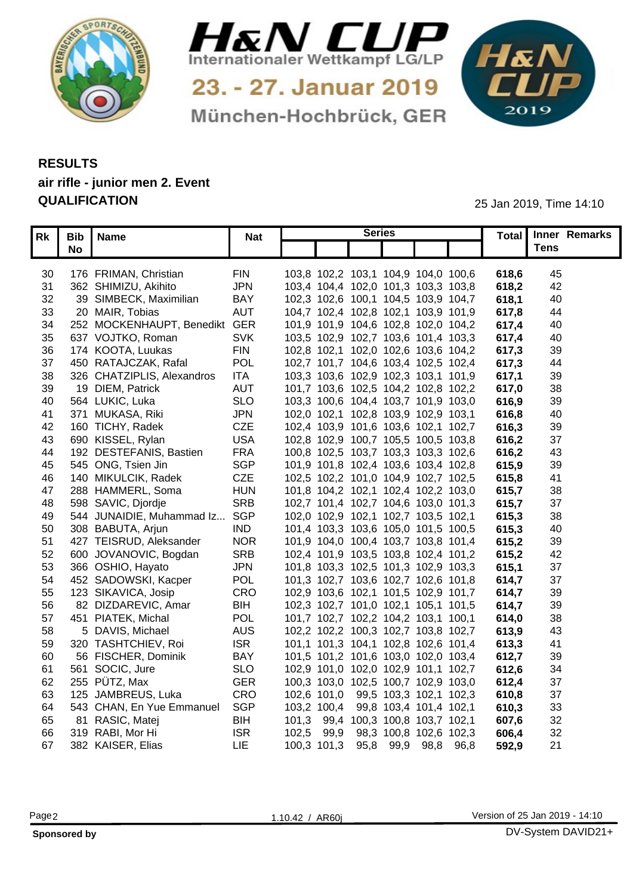



München-Hochbrück, GER

1&N 

## **RESULTS air rifle - junior men 2. Event QUALIFICATION** 25 Jan 2019, Time 14:10

|     | Rk   Bib   Name               | <b>Nat</b> | <b>Series</b>                       |  |       | Total Inner Remarks |  |
|-----|-------------------------------|------------|-------------------------------------|--|-------|---------------------|--|
|     | No                            |            |                                     |  |       | Tens                |  |
|     |                               |            |                                     |  |       |                     |  |
| 30  | 176 FRIMAN, Christian         | <b>FIN</b> | 103,8 102,2 103,1 104,9 104,0 100,6 |  | 618,6 | 45                  |  |
| 31  | 362 SHIMIZU, Akihito          | <b>JPN</b> | 103,4 104,4 102,0 101,3 103,3 103,8 |  | 618,2 | 42                  |  |
| 32  | 39 SIMBECK, Maximilian        | <b>BAY</b> | 102,3 102,6 100,1 104,5 103,9 104,7 |  | 618.1 | 40                  |  |
| 33  | 20 MAIR, Tobias               | <b>AUT</b> | 104,7 102,4 102,8 102,1 103,9 101,9 |  | 617.8 | 44                  |  |
| 34  | 252 MOCKENHAUPT, Benedikt GER |            | 101,9 101,9 104,6 102,8 102,0 104,2 |  | 617.4 | 40                  |  |
| 35  | 637 VOJTKO, Roman             | <b>SVK</b> | 103,5 102,9 102,7 103,6 101,4 103,3 |  | 617,4 | 40                  |  |
| 36  | 174 KOOTA, Luukas             | <b>FIN</b> | 102,8 102,1 102,0 102,6 103,6 104,2 |  | 617,3 | 39                  |  |
| 37  | 450 RATAJCZAK, Rafal          | <b>POL</b> | 102,7 101,7 104,6 103,4 102,5 102,4 |  | 617,3 | 44                  |  |
| 38  | 326 CHATZIPLIS, Alexandros    | <b>ITA</b> | 103,3 103,6 102,9 102,3 103,1 101,9 |  | 617.  | 39                  |  |
| 39  | 19 DIEM, Patrick              | <b>AUT</b> | 101,7 103,6 102,5 104,2 102,8 102,2 |  | 617.0 | 38                  |  |
| 40  | 564 LUKIC, Luka               | <b>SLO</b> | 103,3 100,6 104,4 103,7 101,9 103,0 |  | 616,9 | 39                  |  |
| -41 | 371 MUKASA, Riki              | <b>JPN</b> | 102,0 102,1 102,8 103,9 102,9 103,1 |  | 616.8 | 40                  |  |
|     | 42 160 TICHY, Radek           | <b>CZE</b> | 102,4 103,9 101,6 103,6 102,1 102,7 |  | 616,3 | 39                  |  |
| 43  | 690 KISSEL, Rylan             | <b>USA</b> | 102,8 102,9 100,7 105,5 100,5 103,8 |  | 616.2 | 37                  |  |
| 44  | 192 DESTEFANIS, Bastien       | <b>FRA</b> | 100,8 102,5 103,7 103,3 103,3 102,6 |  | 616.2 | 43                  |  |
| 45  | 545 ONG, Tsien Jin            | <b>SGP</b> | 101,9 101,8 102,4 103,6 103,4 102,8 |  | 615,9 | 39                  |  |
| 46  | 140 MIKULCIK, Radek           | CZE        | 102,5 102,2 101,0 104,9 102,7 102,5 |  | 615,8 | -41                 |  |
| 47  | 288 HAMMERL, Soma             | <b>HUN</b> | 101,8 104,2 102,1 102,4 102,2 103,0 |  | 615,7 | 38                  |  |
| 48  | 598 SAVIC, Djordje            | <b>SRB</b> | 102,7 101,4 102,7 104,6 103,0 101,3 |  | 615,7 | 37                  |  |
| 49  | 544 JUNAIDIE, Muhammad Iz     | . SGP      | 102,0 102,9 102,1 102,7 103,5 102,1 |  | 615,3 | 38                  |  |
| 50  | 308 BABUTA, Arjun             | <b>IND</b> | 101,4 103,3 103,6 105,0 101,5 100,5 |  | 615,3 | 40                  |  |
| 51  | 427 TEISRUD, Aleksander       | <b>NOR</b> | 101,9 104,0 100,4 103,7 103,8 101,4 |  | 615,2 | 39                  |  |
|     | 52 600 JOVANOVIC, Bogdan      | <b>SRB</b> | 102,4 101,9 103,5 103,8 102,4 101,2 |  | 615,2 | 42                  |  |
| 53  | 366 OSHIO, Hayato             | <b>JPN</b> | 101,8 103,3 102,5 101,3 102,9 103,3 |  | 615,7 | 37                  |  |
|     | 54 452 SADOWSKI, Kacper       | <b>POL</b> | 101,3 102,7 103,6 102,7 102,6 101,8 |  | 614.7 | 37                  |  |
| 55  | 123 SIKAVICA, Josip           | <b>CRO</b> | 102,9 103,6 102,1 101,5 102,9 101,7 |  | 614,7 | 39                  |  |
| 56  | 82 DIZDAREVIC, Amar           | <b>BIH</b> | 102,3 102,7 101,0 102,1 105,1 101,5 |  | 614,7 | 39                  |  |
| 57  | 451 PIATEK, Michal            | <b>POL</b> | 101,7 102,7 102,2 104,2 103,1 100,1 |  | 614,0 | 38                  |  |
| 58  | 5 DAVIS, Michael              | <b>AUS</b> | 102,2 102,2 100,3 102,7 103,8 102,7 |  | 613,9 | 43                  |  |
| 59  | 320 TASHTCHIEV, Roi           | <b>ISR</b> | 101,1 101,3 104,1 102,8 102,6 101,4 |  | 613,3 | 4 <sup>′</sup>      |  |
| 60  | 56 FISCHER, Dominik           | <b>BAY</b> | 101,5 101,2 101,6 103,0 102,0 103,4 |  | 612,7 | 39                  |  |
| 61  | 561 SOCIC, Jure               | <b>SLO</b> | 102,9 101,0 102,0 102,9 101,1 102,7 |  | 612,6 | 34                  |  |
| 62  | 255  PÜTZ, Max                | <b>GER</b> | 100,3 103,0 102,5 100,7 102,9 103,0 |  | 612,4 | 37                  |  |
| 63  | 125 JAMBREUS, Luka            | CRO        | 102,6 101,0 99,5 103,3 102,1 102,3  |  | 610,8 | 37                  |  |
| 64  | 543 CHAN, En Yue Emmanuel     | <b>SGP</b> | 103,2 100,4 99,8 103,4 101,4 102,1  |  | 610,3 | 33                  |  |
| 65  | 81 RASIC, Matej               | <b>BIH</b> | 101,3 99,4 100,3 100,8 103,7 102,1  |  | 607,6 | 32                  |  |
| 66  | 319 RABI, Mor Hi              | <b>ISF</b> | 102,5 99,9 98,3 100,8 102,6 102,3   |  | 606,4 | 32                  |  |
|     | 67 382 KAISER, Elias          | LIE        | 100,3 101,3 95,8 99,9 98,8 96,8     |  | 592,9 | 21                  |  |
|     |                               |            |                                     |  |       |                     |  |